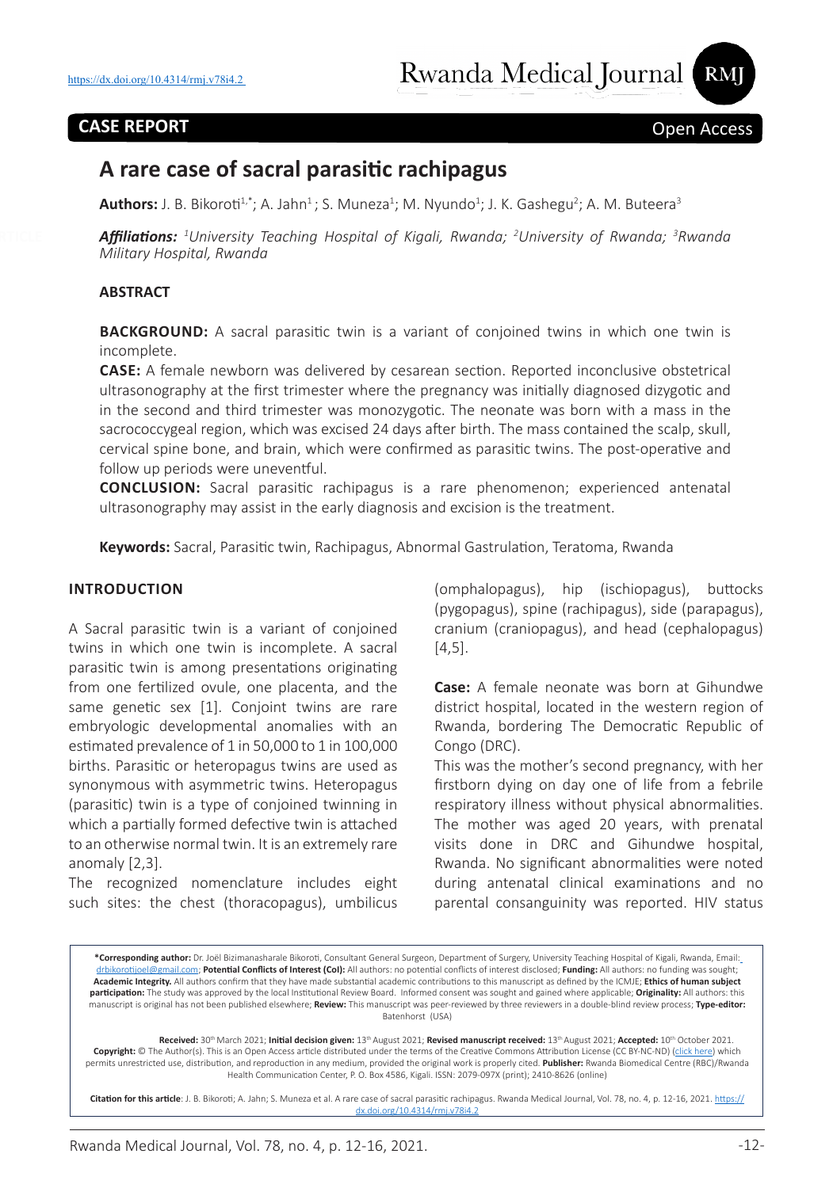## **CASE REPORT** Open Access

# **A rare case of sacral parasitic rachipagus**

**Authors:** J. B. Bikoroti<sup>1,\*</sup>; A. Jahn<sup>1</sup>; S. Muneza<sup>1</sup>; M. Nyundo<sup>1</sup>; J. K. Gashegu<sup>2</sup>; A. M. Buteera<sup>3</sup>

*Affiliations: <sup>1</sup> University Teaching Hospital of Kigali, Rwanda; 2 University of Rwanda; 3 Rwanda Military Hospital, Rwanda*

#### **ABSTRACT**

**BACKGROUND:** A sacral parasitic twin is a variant of conjoined twins in which one twin is incomplete.

**CASE:** A female newborn was delivered by cesarean section. Reported inconclusive obstetrical ultrasonography at the first trimester where the pregnancy was initially diagnosed dizygotic and in the second and third trimester was monozygotic. The neonate was born with a mass in the sacrococcygeal region, which was excised 24 days after birth. The mass contained the scalp, skull, cervical spine bone, and brain, which were confirmed as parasitic twins. The post-operative and follow up periods were uneventful.

**CONCLUSION:** Sacral parasitic rachipagus is a rare phenomenon; experienced antenatal ultrasonography may assist in the early diagnosis and excision is the treatment.

**Keywords:** Sacral, Parasitic twin, Rachipagus, Abnormal Gastrulation, Teratoma, Rwanda

#### **INTRODUCTION**

A Sacral parasitic twin is a variant of conjoined twins in which one twin is incomplete. A sacral parasitic twin is among presentations originating from one fertilized ovule, one placenta, and the same genetic sex [1]. Conjoint twins are rare embryologic developmental anomalies with an estimated prevalence of 1 in 50,000 to 1 in 100,000 births. Parasitic or heteropagus twins are used as synonymous with asymmetric twins. Heteropagus (parasitic) twin is a type of conjoined twinning in which a partially formed defective twin is attached to an otherwise normal twin. It is an extremely rare anomaly [2,3].

The recognized nomenclature includes eight such sites: the chest (thoracopagus), umbilicus

(omphalopagus), hip (ischiopagus), buttocks (pygopagus), spine (rachipagus), side (parapagus), cranium (craniopagus), and head (cephalopagus) [4,5].

**Case:** A female neonate was born at Gihundwe district hospital, located in the western region of Rwanda, bordering The Democratic Republic of Congo (DRC).

This was the mother's second pregnancy, with her firstborn dying on day one of life from a febrile respiratory illness without physical abnormalities. The mother was aged 20 years, with prenatal visits done in DRC and Gihundwe hospital, Rwanda. No significant abnormalities were noted during antenatal clinical examinations and no parental consanguinity was reported. HIV status

**\*Corresponding author:** Dr. Joël Bizimanasharale Bikoroti, Consultant General Surgeon, Department of Surgery, University Teaching Hospital of Kigali, Rwanda, Email: drbikorotijoel@gmail.com; **Potential Conflicts of Interest (CoI):** All authors: no potential conflicts of interest disclosed; **Funding:** All authors: no funding was sought; **Academic Integrity.** All authors confirm that they have made substantial academic contributions to this manuscript as defined by the ICMJE; **Ethics of human subject participation:** The study was approved by the local Institutional Review Board. Informed consent was sought and gained where applicable; **Originality:** All authors: this manuscript is original has not been published elsewhere; **Review:** This manuscript was peer-reviewed by three reviewers in a double-blind review process; **Type-editor:**  Batenhorst (USA)

Received: 30<sup>th</sup> March 2021; Initial decision given: 13<sup>th</sup> August 2021; Revised manuscript received: 13<sup>th</sup> August 2021; Accepted: 10<sup>th</sup> October 2021. **Copyright:** © The Author(s). This is an Open Access article distributed under the terms of the Creative Commons Attribution License (CC BY-NC-ND) (click here) which permits unrestricted use, distribution, and reproduction in any medium, provided the original work is properly cited. **Publisher:** Rwanda Biomedical Centre (RBC)/Rwanda Health Communication Center, P. O. Box 4586, Kigali. ISSN: 2079-097X (print); 2410-8626 (online)

**Citation for this article**: J. B. Bikoroti; A. Jahn; S. Muneza et al. A rare case of sacral parasitic rachipagus. Rwanda Medical Journal, Vol. 78, no. 4, p. 12-16, 2021. https:// dx.doi.org/10.4314/rmj.v78i4.2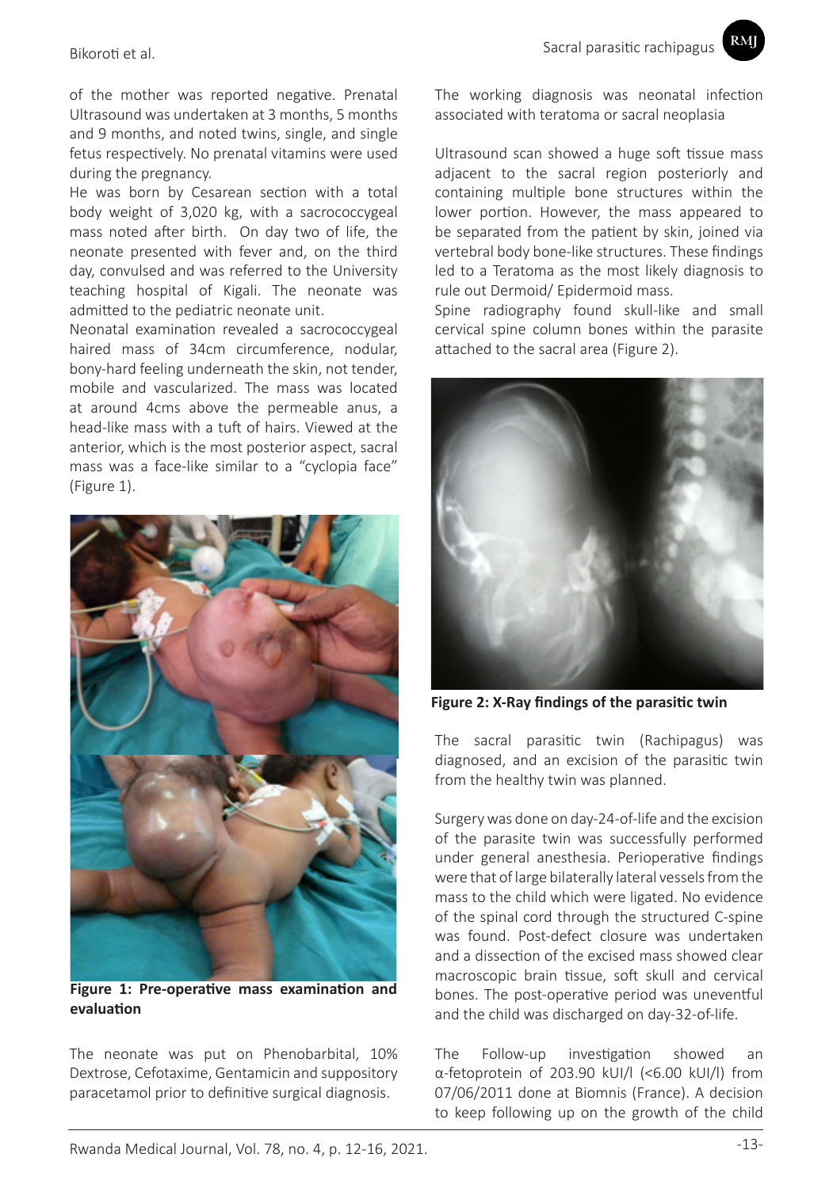of the mother was reported negative. Prenatal

Ultrasound was undertaken at 3 months, 5 months and 9 months, and noted twins, single, and single fetus respectively. No prenatal vitamins were used during the pregnancy.

He was born by Cesarean section with a total body weight of 3,020 kg, with a sacrococcygeal mass noted after birth. On day two of life, the neonate presented with fever and, on the third day, convulsed and was referred to the University teaching hospital of Kigali. The neonate was admitted to the pediatric neonate unit.

Neonatal examination revealed a sacrococcygeal haired mass of 34cm circumference, nodular, bony-hard feeling underneath the skin, not tender, mobile and vascularized. The mass was located at around 4cms above the permeable anus, a head-like mass with a tuft of hairs. Viewed at the anterior, which is the most posterior aspect, sacral mass was a face-like similar to a "cyclopia face" (Figure 1).



**Figure 1: Pre-operative mass examination and evaluation**

The neonate was put on Phenobarbital, 10% Dextrose, Cefotaxime, Gentamicin and suppository paracetamol prior to definitive surgical diagnosis.

RMI

The working diagnosis was neonatal infection associated with teratoma or sacral neoplasia

Ultrasound scan showed a huge soft tissue mass adjacent to the sacral region posteriorly and containing multiple bone structures within the lower portion. However, the mass appeared to be separated from the patient by skin, joined via vertebral body bone-like structures. These findings led to a Teratoma as the most likely diagnosis to rule out Dermoid/ Epidermoid mass.

Spine radiography found skull-like and small cervical spine column bones within the parasite attached to the sacral area (Figure 2).



**Figure 2: X-Ray findings of the parasitic twin** 

The sacral parasitic twin (Rachipagus) was diagnosed, and an excision of the parasitic twin from the healthy twin was planned.

Surgery was done on day-24-of-life and the excision of the parasite twin was successfully performed under general anesthesia. Perioperative findings were that of large bilaterally lateral vessels from the mass to the child which were ligated. No evidence of the spinal cord through the structured C-spine was found. Post-defect closure was undertaken and a dissection of the excised mass showed clear macroscopic brain tissue, soft skull and cervical bones. The post-operative period was uneventful and the child was discharged on day-32-of-life.

The Follow-up investigation showed an α-fetoprotein of 203.90 kUI/l (<6.00 kUI/l) from 07/06/2011 done at Biomnis (France). A decision to keep following up on the growth of the child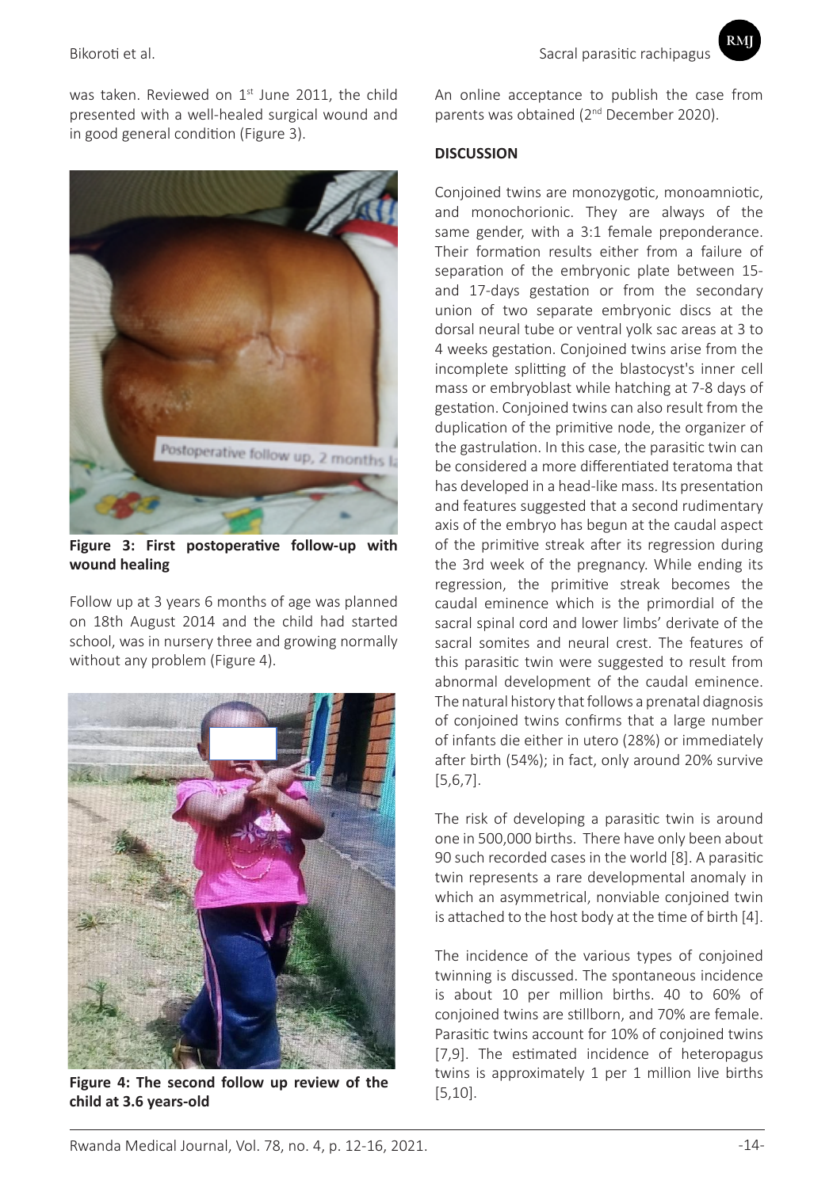RMI

was taken. Reviewed on  $1<sup>st</sup>$  June 2011, the child presented with a well-healed surgical wound and in good general condition (Figure 3).



**Figure 3: First postoperative follow-up with wound healing**

Follow up at 3 years 6 months of age was planned on 18th August 2014 and the child had started school, was in nursery three and growing normally without any problem (Figure 4).



**Figure 4: The second follow up review of the child at 3.6 years-old**

An online acceptance to publish the case from parents was obtained (2<sup>nd</sup> December 2020).

## **DISCUSSION**

Conjoined twins are monozygotic, monoamniotic, and monochorionic. They are always of the same gender, with a 3:1 female preponderance. Their formation results either from a failure of separation of the embryonic plate between 15 and 17-days gestation or from the secondary union of two separate embryonic discs at the dorsal neural tube or ventral yolk sac areas at 3 to 4 weeks gestation. Conjoined twins arise from the incomplete splitting of the blastocyst's inner cell mass or embryoblast while hatching at 7-8 days of gestation. Conjoined twins can also result from the duplication of the primitive node, the organizer of the gastrulation. In this case, the parasitic twin can be considered a more differentiated teratoma that has developed in a head-like mass. Its presentation and features suggested that a second rudimentary axis of the embryo has begun at the caudal aspect of the primitive streak after its regression during the 3rd week of the pregnancy. While ending its regression, the primitive streak becomes the caudal eminence which is the primordial of the sacral spinal cord and lower limbs' derivate of the sacral somites and neural crest. The features of this parasitic twin were suggested to result from abnormal development of the caudal eminence. The natural history that follows a prenatal diagnosis of conjoined twins confirms that a large number of infants die either in utero (28%) or immediately after birth (54%); in fact, only around 20% survive [5,6,7].

The risk of developing a parasitic twin is around one in 500,000 births. There have only been about 90 such recorded cases in the world [8]. A parasitic twin represents a rare developmental anomaly in which an asymmetrical, nonviable conjoined twin is attached to the host body at the time of birth [4].

The incidence of the various types of conjoined twinning is discussed. The spontaneous incidence is about 10 per million births. 40 to 60% of conjoined twins are stillborn, and 70% are female. Parasitic twins account for 10% of conjoined twins [7,9]. The estimated incidence of heteropagus twins is approximately 1 per 1 million live births [5,10].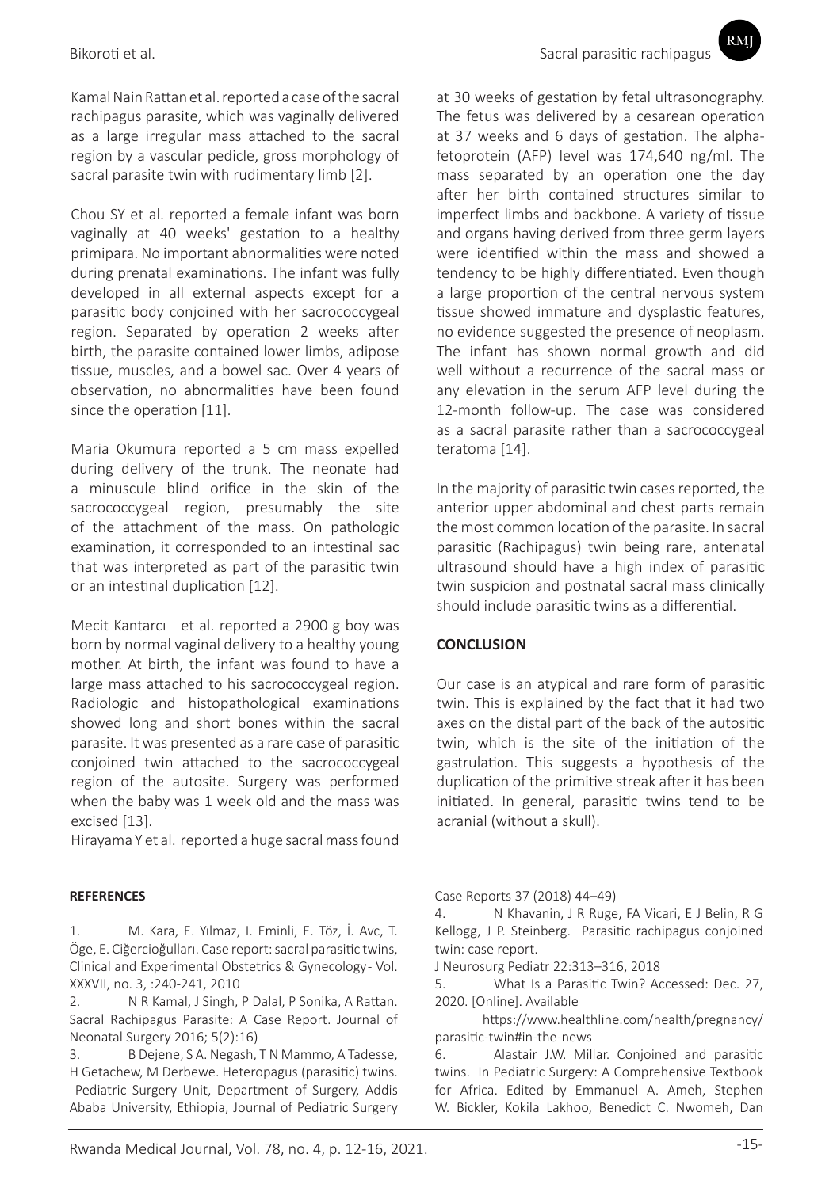Kamal Nain Rattan et al. reported a case of the sacral rachipagus parasite, which was vaginally delivered as a large irregular mass attached to the sacral region by a vascular pedicle, gross morphology of sacral parasite twin with rudimentary limb [2].

Chou SY et al. reported a female infant was born vaginally at 40 weeks' gestation to a healthy primipara. No important abnormalities were noted during prenatal examinations. The infant was fully developed in all external aspects except for a parasitic body conjoined with her sacrococcygeal region. Separated by operation 2 weeks after birth, the parasite contained lower limbs, adipose tissue, muscles, and a bowel sac. Over 4 years of observation, no abnormalities have been found since the operation [11].

Maria Okumura reported a 5 cm mass expelled during delivery of the trunk. The neonate had a minuscule blind orifice in the skin of the sacrococcygeal region, presumably the site of the attachment of the mass. On pathologic examination, it corresponded to an intestinal sac that was interpreted as part of the parasitic twin or an intestinal duplication [12].

Mecit Kantarcı et al. reported a 2900 g boy was born by normal vaginal delivery to a healthy young mother. At birth, the infant was found to have a large mass attached to his sacrococcygeal region. Radiologic and histopathological examinations showed long and short bones within the sacral parasite. It was presented as a rare case of parasitic conjoined twin attached to the sacrococcygeal region of the autosite. Surgery was performed when the baby was 1 week old and the mass was excised [13].

Hirayama Y et al. reported a huge sacral mass found

### **REFERENCES**

1. M. Kara, E. Yılmaz, I. Eminli, E. Töz, İ. Avc, T. Öge, E. Ciğercioğulları. Case report: sacral parasitic twins, Clinical and Experimental Obstetrics & Gynecology- Vol. XXXVII, no. 3, :240-241, 2010

2. N R Kamal, J Singh, P Dalal, P Sonika, A Rattan. Sacral Rachipagus Parasite: A Case Report. Journal of Neonatal Surgery 2016; 5(2):16)

3. B Dejene, S A. Negash, T N Mammo, A Tadesse, H Getachew, M Derbewe. Heteropagus (parasitic) twins. Pediatric Surgery Unit, Department of Surgery, Addis Ababa University, Ethiopia, Journal of Pediatric Surgery RMI

at 30 weeks of gestation by fetal ultrasonography. The fetus was delivered by a cesarean operation at 37 weeks and 6 days of gestation. The alphafetoprotein (AFP) level was 174,640 ng/ml. The mass separated by an operation one the day after her birth contained structures similar to imperfect limbs and backbone. A variety of tissue and organs having derived from three germ layers were identified within the mass and showed a tendency to be highly differentiated. Even though a large proportion of the central nervous system tissue showed immature and dysplastic features, no evidence suggested the presence of neoplasm. The infant has shown normal growth and did well without a recurrence of the sacral mass or any elevation in the serum AFP level during the 12-month follow-up. The case was considered as a sacral parasite rather than a sacrococcygeal teratoma [14].

In the majority of parasitic twin cases reported, the anterior upper abdominal and chest parts remain the most common location of the parasite. In sacral parasitic (Rachipagus) twin being rare, antenatal ultrasound should have a high index of parasitic twin suspicion and postnatal sacral mass clinically should include parasitic twins as a differential.

## **CONCLUSION**

Our case is an atypical and rare form of parasitic twin. This is explained by the fact that it had two axes on the distal part of the back of the autositic twin, which is the site of the initiation of the gastrulation. This suggests a hypothesis of the duplication of the primitive streak after it has been initiated. In general, parasitic twins tend to be acranial (without a skull).

Case Reports 37 (2018) 44–49)

4. N Khavanin, J R Ruge, FA Vicari, E J Belin, R G Kellogg, J P. Steinberg. Parasitic rachipagus conjoined twin: case report.

J Neurosurg Pediatr 22:313–316, 2018

5. What Is a Parasitic Twin? Accessed: Dec. 27, 2020. [Online]. Available

 https://www.healthline.com/health/pregnancy/ parasitic-twin#in-the-news

6. Alastair J.W. Millar. Conjoined and parasitic twins. In Pediatric Surgery: A Comprehensive Textbook for Africa. Edited by Emmanuel A. Ameh, Stephen W. Bickler, Kokila Lakhoo, Benedict C. Nwomeh, Dan